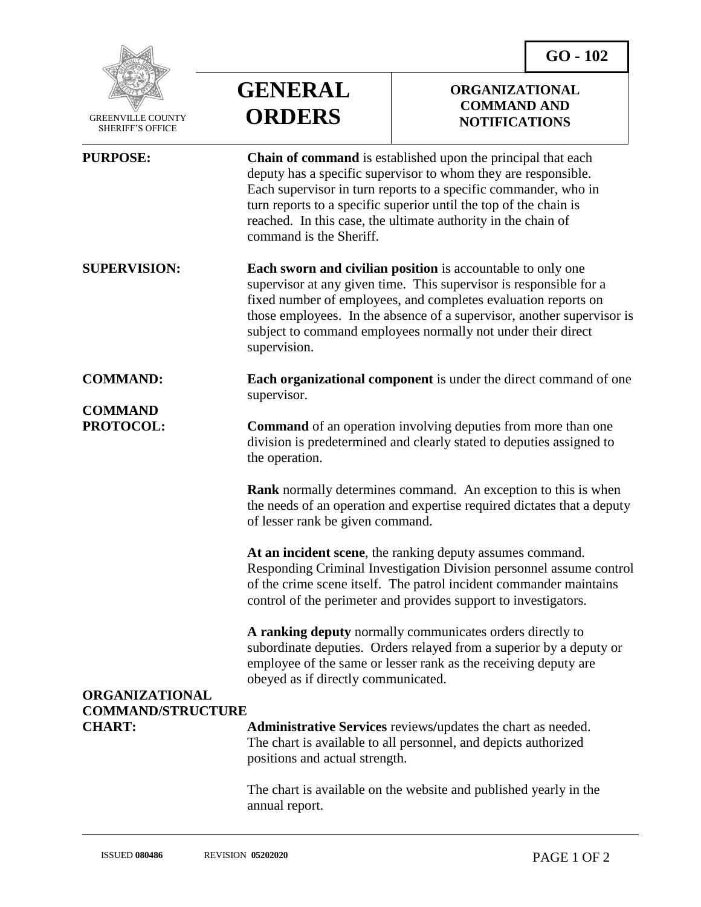**GO - 102**



 GREENVILLE COUNTY SHERIFF'S OFFICE

## **GENERAL ORDERS**

## **ORGANIZATIONAL COMMAND AND NOTIFICATIONS**

| <b>PURPOSE:</b>                                                                                   | Chain of command is established upon the principal that each<br>deputy has a specific supervisor to whom they are responsible.<br>Each supervisor in turn reports to a specific commander, who in<br>turn reports to a specific superior until the top of the chain is<br>reached. In this case, the ultimate authority in the chain of<br>command is the Sheriff.   |
|---------------------------------------------------------------------------------------------------|----------------------------------------------------------------------------------------------------------------------------------------------------------------------------------------------------------------------------------------------------------------------------------------------------------------------------------------------------------------------|
| <b>SUPERVISION:</b>                                                                               | <b>Each sworn and civilian position</b> is accountable to only one<br>supervisor at any given time. This supervisor is responsible for a<br>fixed number of employees, and completes evaluation reports on<br>those employees. In the absence of a supervisor, another supervisor is<br>subject to command employees normally not under their direct<br>supervision. |
| <b>COMMAND:</b>                                                                                   | <b>Each organizational component</b> is under the direct command of one<br>supervisor.                                                                                                                                                                                                                                                                               |
| <b>COMMAND</b><br>PROTOCOL:<br><b>ORGANIZATIONAL</b><br><b>COMMAND/STRUCTURE</b><br><b>CHART:</b> | <b>Command</b> of an operation involving deputies from more than one<br>division is predetermined and clearly stated to deputies assigned to<br>the operation.                                                                                                                                                                                                       |
|                                                                                                   | Rank normally determines command. An exception to this is when<br>the needs of an operation and expertise required dictates that a deputy<br>of lesser rank be given command.                                                                                                                                                                                        |
|                                                                                                   | At an incident scene, the ranking deputy assumes command.<br>Responding Criminal Investigation Division personnel assume control<br>of the crime scene itself. The patrol incident commander maintains<br>control of the perimeter and provides support to investigators.                                                                                            |
|                                                                                                   | A ranking deputy normally communicates orders directly to<br>subordinate deputies. Orders relayed from a superior by a deputy or<br>employee of the same or lesser rank as the receiving deputy are<br>obeyed as if directly communicated.                                                                                                                           |
|                                                                                                   | Administrative Services reviews/updates the chart as needed.<br>The chart is available to all personnel, and depicts authorized<br>positions and actual strength.                                                                                                                                                                                                    |
|                                                                                                   | The chart is available on the website and published yearly in the<br>annual report.                                                                                                                                                                                                                                                                                  |